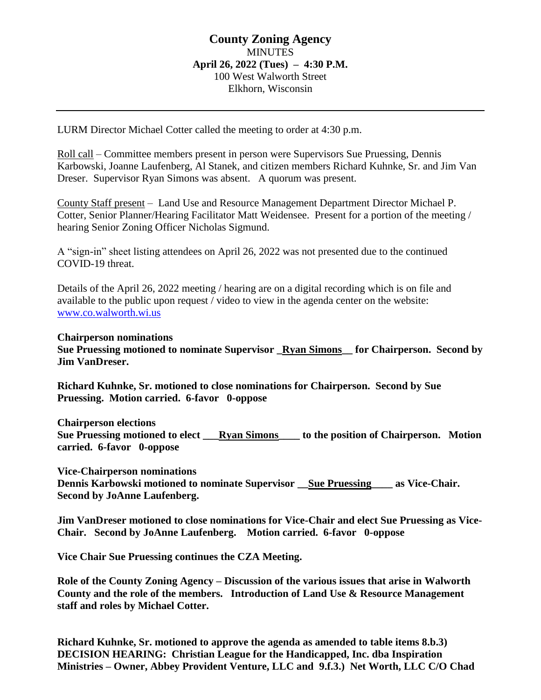# **County Zoning Agency** MINUTES **April 26, 2022 (Tues) – 4:30 P.M.** 100 West Walworth Street Elkhorn, Wisconsin

LURM Director Michael Cotter called the meeting to order at 4:30 p.m.

Roll call – Committee members present in person were Supervisors Sue Pruessing, Dennis Karbowski, Joanne Laufenberg, Al Stanek, and citizen members Richard Kuhnke, Sr. and Jim Van Dreser. Supervisor Ryan Simons was absent. A quorum was present.

County Staff present – Land Use and Resource Management Department Director Michael P. Cotter, Senior Planner/Hearing Facilitator Matt Weidensee. Present for a portion of the meeting / hearing Senior Zoning Officer Nicholas Sigmund.

A "sign-in" sheet listing attendees on April 26, 2022 was not presented due to the continued COVID-19 threat.

Details of the April 26, 2022 meeting / hearing are on a digital recording which is on file and available to the public upon request / video to view in the agenda center on the website: [www.co.walworth.wi.us](http://www.co.walworth.wi.us/)

## **Chairperson nominations**

**Sue Pruessing motioned to nominate Supervisor \_Ryan Simons\_\_ for Chairperson. Second by Jim VanDreser.**

**Richard Kuhnke, Sr. motioned to close nominations for Chairperson. Second by Sue Pruessing. Motion carried. 6-favor 0-oppose**

**Chairperson elections Sue Pruessing motioned to elect \_\_\_Ryan Simons\_\_\_\_ to the position of Chairperson. Motion carried. 6-favor 0-oppose** 

**Vice-Chairperson nominations**

**Dennis Karbowski motioned to nominate Supervisor \_\_ Sue Pruessing \_\_\_\_ as Vice-Chair. Second by JoAnne Laufenberg.** 

**Jim VanDreser motioned to close nominations for Vice-Chair and elect Sue Pruessing as Vice-Chair. Second by JoAnne Laufenberg. Motion carried. 6-favor 0-oppose**

**Vice Chair Sue Pruessing continues the CZA Meeting.**

**Role of the County Zoning Agency – Discussion of the various issues that arise in Walworth County and the role of the members. Introduction of Land Use & Resource Management staff and roles by Michael Cotter.**

**Richard Kuhnke, Sr. motioned to approve the agenda as amended to table items 8.b.3) DECISION HEARING: Christian League for the Handicapped, Inc. dba Inspiration Ministries – Owner, Abbey Provident Venture, LLC and 9.f.3.) Net Worth, LLC C/O Chad**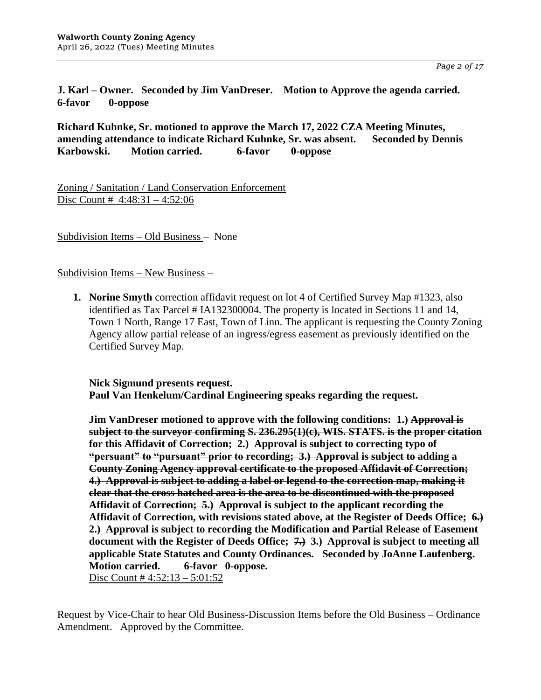**J. Karl – Owner. Seconded by Jim VanDreser. Motion to Approve the agenda carried. 6-favor 0-oppose**

**Richard Kuhnke, Sr. motioned to approve the March 17, 2022 CZA Meeting Minutes, amending attendance to indicate Richard Kuhnke, Sr. was absent. Seconded by Dennis Karbowski. Motion carried. 6-favor 0-oppose**

Zoning / Sanitation / Land Conservation Enforcement Disc Count # 4:48:31 – 4:52:06

Subdivision Items – Old Business – None

Subdivision Items – New Business –

**1. Norine Smyth** correction affidavit request on lot 4 of Certified Survey Map #1323, also identified as Tax Parcel # IA132300004. The property is located in Sections 11 and 14, Town 1 North, Range 17 East, Town of Linn. The applicant is requesting the County Zoning Agency allow partial release of an ingress/egress easement as previously identified on the Certified Survey Map.

**Nick Sigmund presents request. Paul Van Henkelum/Cardinal Engineering speaks regarding the request.**

**Jim VanDreser motioned to approve with the following conditions: 1.) Approval is subject to the surveyor confirming S. 236.295(1)(c), WIS. STATS. is the proper citation for this Affidavit of Correction; 2.) Approval is subject to correcting typo of "persuant" to "pursuant" prior to recording; 3.) Approval is subject to adding a County Zoning Agency approval certificate to the proposed Affidavit of Correction; 4.) Approval is subject to adding a label or legend to the correction map, making it clear that the cross hatched area is the area to be discontinued with the proposed Affidavit of Correction; 5.) Approval is subject to the applicant recording the Affidavit of Correction, with revisions stated above, at the Register of Deeds Office; 6.) 2.) Approval is subject to recording the Modification and Partial Release of Easement document with the Register of Deeds Office; 7.) 3.) Approval is subject to meeting all applicable State Statutes and County Ordinances. Seconded by JoAnne Laufenberg. Motion carried. 6-favor 0-oppose.**  Disc Count # 4:52:13 – 5:01:52

Request by Vice-Chair to hear Old Business-Discussion Items before the Old Business – Ordinance Amendment. Approved by the Committee.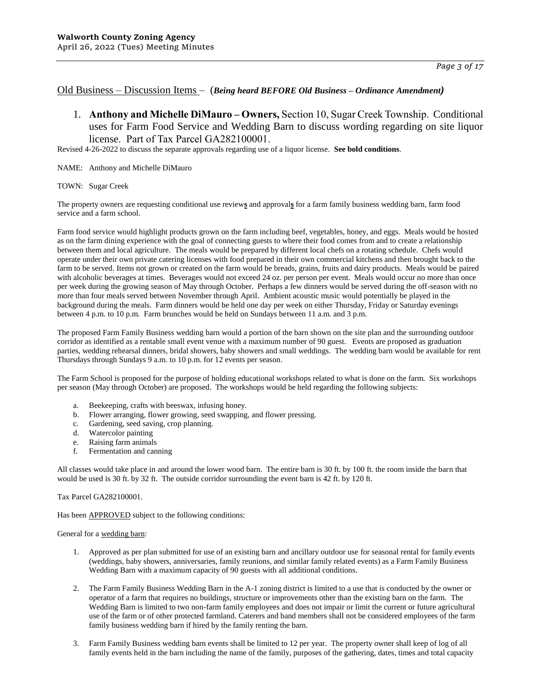## Old Business – Discussion Items – (*Being heard BEFORE Old Business – Ordinance Amendment)*

1. **Anthony and Michelle DiMauro – Owners,** Section 10, Sugar Creek Township. Conditional uses for Farm Food Service and Wedding Barn to discuss wording regarding on site liquor license. Part of Tax Parcel GA282100001.

Revised 4-26-2022 to discuss the separate approvals regarding use of a liquor license. **See bold conditions**.

- NAME: Anthony and Michelle DiMauro
- TOWN: Sugar Creek

The property owners are requesting conditional use review**s** and approval**s** for a farm family business wedding barn, farm food service and a farm school.

Farm food service would highlight products grown on the farm including beef, vegetables, honey, and eggs. Meals would be hosted as on the farm dining experience with the goal of connecting guests to where their food comes from and to create a relationship between them and local agriculture. The meals would be prepared by different local chefs on a rotating schedule. Chefs would operate under their own private catering licenses with food prepared in their own commercial kitchens and then brought back to the farm to be served. Items not grown or created on the farm would be breads, grains, fruits and dairy products. Meals would be paired with alcoholic beverages at times. Beverages would not exceed 24 oz. per person per event. Meals would occur no more than once per week during the growing season of May through October. Perhaps a few dinners would be served during the off-season with no more than four meals served between November through April. Ambient acoustic music would potentially be played in the background during the meals. Farm dinners would be held one day per week on either Thursday, Friday or Saturday evenings between 4 p.m. to 10 p.m. Farm brunches would be held on Sundays between 11 a.m. and 3 p.m.

The proposed Farm Family Business wedding barn would a portion of the barn shown on the site plan and the surrounding outdoor corridor as identified as a rentable small event venue with a maximum number of 90 guest. Events are proposed as graduation parties, wedding rehearsal dinners, bridal showers, baby showers and small weddings. The wedding barn would be available for rent Thursdays through Sundays 9 a.m. to 10 p.m. for 12 events per season.

The Farm School is proposed for the purpose of holding educational workshops related to what is done on the farm. Six workshops per season (May through October) are proposed. The workshops would be held regarding the following subjects:

- a. Beekeeping, crafts with beeswax, infusing honey.
- b. Flower arranging, flower growing, seed swapping, and flower pressing.
- Gardening, seed saving, crop planning.
- d. Watercolor painting
- Raising farm animals
- f. Fermentation and canning

All classes would take place in and around the lower wood barn. The entire barn is 30 ft. by 100 ft. the room inside the barn that would be used is 30 ft. by 32 ft. The outside corridor surrounding the event barn is 42 ft. by 120 ft.

### Tax Parcel GA282100001.

Has been **APPROVED** subject to the following conditions:

### General for a wedding barn:

- 1. Approved as per plan submitted for use of an existing barn and ancillary outdoor use for seasonal rental for family events (weddings, baby showers, anniversaries, family reunions, and similar family related events) as a Farm Family Business Wedding Barn with a maximum capacity of 90 guests with all additional conditions.
- 2. The Farm Family Business Wedding Barn in the A-1 zoning district is limited to a use that is conducted by the owner or operator of a farm that requires no buildings, structure or improvements other than the existing barn on the farm. The Wedding Barn is limited to two non-farm family employees and does not impair or limit the current or future agricultural use of the farm or of other protected farmland. Caterers and band members shall not be considered employees of the farm family business wedding barn if hired by the family renting the barn.
- 3. Farm Family Business wedding barn events shall be limited to 12 per year. The property owner shall keep of log of all family events held in the barn including the name of the family, purposes of the gathering, dates, times and total capacity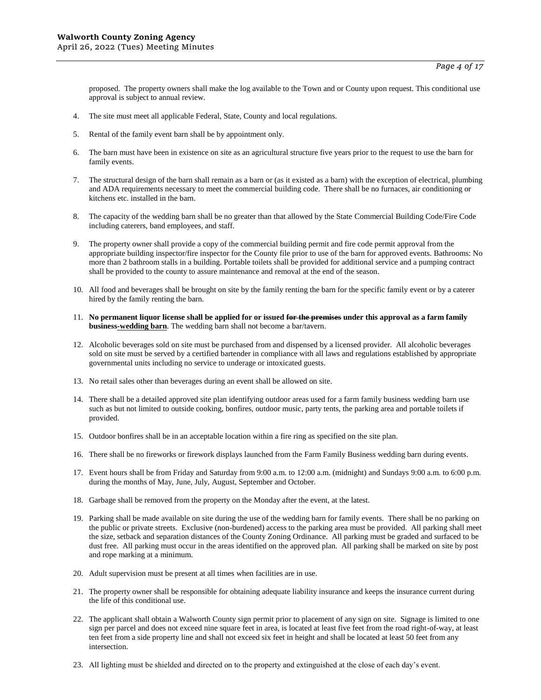proposed. The property owners shall make the log available to the Town and or County upon request. This conditional use approval is subject to annual review.

- 4. The site must meet all applicable Federal, State, County and local regulations.
- 5. Rental of the family event barn shall be by appointment only.
- 6. The barn must have been in existence on site as an agricultural structure five years prior to the request to use the barn for family events.
- 7. The structural design of the barn shall remain as a barn or (as it existed as a barn) with the exception of electrical, plumbing and ADA requirements necessary to meet the commercial building code. There shall be no furnaces, air conditioning or kitchens etc. installed in the barn.
- 8. The capacity of the wedding barn shall be no greater than that allowed by the State Commercial Building Code/Fire Code including caterers, band employees, and staff.
- 9. The property owner shall provide a copy of the commercial building permit and fire code permit approval from the appropriate building inspector/fire inspector for the County file prior to use of the barn for approved events. Bathrooms: No more than 2 bathroom stalls in a building. Portable toilets shall be provided for additional service and a pumping contract shall be provided to the county to assure maintenance and removal at the end of the season.
- 10. All food and beverages shall be brought on site by the family renting the barn for the specific family event or by a caterer hired by the family renting the barn.
- 11. **No permanent liquor license shall be applied for or issued for the premises under this approval as a farm family business-wedding barn**. The wedding barn shall not become a bar/tavern.
- 12. Alcoholic beverages sold on site must be purchased from and dispensed by a licensed provider. All alcoholic beverages sold on site must be served by a certified bartender in compliance with all laws and regulations established by appropriate governmental units including no service to underage or intoxicated guests.
- 13. No retail sales other than beverages during an event shall be allowed on site.
- 14. There shall be a detailed approved site plan identifying outdoor areas used for a farm family business wedding barn use such as but not limited to outside cooking, bonfires, outdoor music, party tents, the parking area and portable toilets if provided.
- 15. Outdoor bonfires shall be in an acceptable location within a fire ring as specified on the site plan.
- 16. There shall be no fireworks or firework displays launched from the Farm Family Business wedding barn during events.
- 17. Event hours shall be from Friday and Saturday from 9:00 a.m. to 12:00 a.m. (midnight) and Sundays 9:00 a.m. to 6:00 p.m. during the months of May, June, July, August, September and October.
- 18. Garbage shall be removed from the property on the Monday after the event, at the latest.
- 19. Parking shall be made available on site during the use of the wedding barn for family events. There shall be no parking on the public or private streets. Exclusive (non-burdened) access to the parking area must be provided. All parking shall meet the size, setback and separation distances of the County Zoning Ordinance. All parking must be graded and surfaced to be dust free. All parking must occur in the areas identified on the approved plan. All parking shall be marked on site by post and rope marking at a minimum.
- 20. Adult supervision must be present at all times when facilities are in use.
- 21. The property owner shall be responsible for obtaining adequate liability insurance and keeps the insurance current during the life of this conditional use.
- 22. The applicant shall obtain a Walworth County sign permit prior to placement of any sign on site. Signage is limited to one sign per parcel and does not exceed nine square feet in area, is located at least five feet from the road right-of-way, at least ten feet from a side property line and shall not exceed six feet in height and shall be located at least 50 feet from any intersection.
- 23. All lighting must be shielded and directed on to the property and extinguished at the close of each day's event.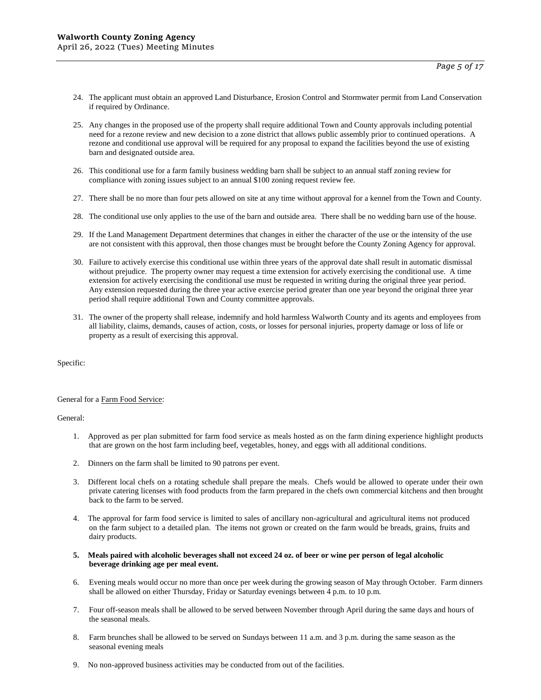- 24. The applicant must obtain an approved Land Disturbance, Erosion Control and Stormwater permit from Land Conservation if required by Ordinance.
- 25. Any changes in the proposed use of the property shall require additional Town and County approvals including potential need for a rezone review and new decision to a zone district that allows public assembly prior to continued operations. A rezone and conditional use approval will be required for any proposal to expand the facilities beyond the use of existing barn and designated outside area.
- 26. This conditional use for a farm family business wedding barn shall be subject to an annual staff zoning review for compliance with zoning issues subject to an annual \$100 zoning request review fee.
- 27. There shall be no more than four pets allowed on site at any time without approval for a kennel from the Town and County.
- 28. The conditional use only applies to the use of the barn and outside area. There shall be no wedding barn use of the house.
- 29. If the Land Management Department determines that changes in either the character of the use or the intensity of the use are not consistent with this approval, then those changes must be brought before the County Zoning Agency for approval.
- 30. Failure to actively exercise this conditional use within three years of the approval date shall result in automatic dismissal without prejudice. The property owner may request a time extension for actively exercising the conditional use. A time extension for actively exercising the conditional use must be requested in writing during the original three year period. Any extension requested during the three year active exercise period greater than one year beyond the original three year period shall require additional Town and County committee approvals.
- 31. The owner of the property shall release, indemnify and hold harmless Walworth County and its agents and employees from all liability, claims, demands, causes of action, costs, or losses for personal injuries, property damage or loss of life or property as a result of exercising this approval.

### General for a Farm Food Service:

General:

- 1. Approved as per plan submitted for farm food service as meals hosted as on the farm dining experience highlight products that are grown on the host farm including beef, vegetables, honey, and eggs with all additional conditions.
- 2. Dinners on the farm shall be limited to 90 patrons per event.
- 3. Different local chefs on a rotating schedule shall prepare the meals. Chefs would be allowed to operate under their own private catering licenses with food products from the farm prepared in the chefs own commercial kitchens and then brought back to the farm to be served.
- 4. The approval for farm food service is limited to sales of ancillary non-agricultural and agricultural items not produced on the farm subject to a detailed plan. The items not grown or created on the farm would be breads, grains, fruits and dairy products.
- **5. Meals paired with alcoholic beverages shall not exceed 24 oz. of beer or wine per person of legal alcoholic beverage drinking age per meal event.**
- 6. Evening meals would occur no more than once per week during the growing season of May through October. Farm dinners shall be allowed on either Thursday, Friday or Saturday evenings between 4 p.m. to 10 p.m.
- 7. Four off-season meals shall be allowed to be served between November through April during the same days and hours of the seasonal meals.
- 8. Farm brunches shall be allowed to be served on Sundays between 11 a.m. and 3 p.m. during the same season as the seasonal evening meals
- 9. No non-approved business activities may be conducted from out of the facilities.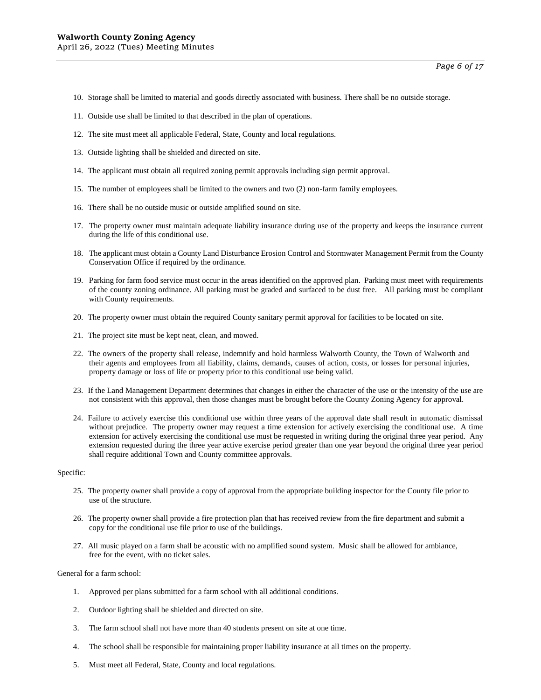- 10. Storage shall be limited to material and goods directly associated with business. There shall be no outside storage.
- 11. Outside use shall be limited to that described in the plan of operations.
- 12. The site must meet all applicable Federal, State, County and local regulations.
- 13. Outside lighting shall be shielded and directed on site.
- 14. The applicant must obtain all required zoning permit approvals including sign permit approval.
- 15. The number of employees shall be limited to the owners and two (2) non-farm family employees.
- 16. There shall be no outside music or outside amplified sound on site.
- 17. The property owner must maintain adequate liability insurance during use of the property and keeps the insurance current during the life of this conditional use.
- 18. The applicant must obtain a County Land Disturbance Erosion Control and Stormwater Management Permit from the County Conservation Office if required by the ordinance.
- 19. Parking for farm food service must occur in the areas identified on the approved plan. Parking must meet with requirements of the county zoning ordinance. All parking must be graded and surfaced to be dust free. All parking must be compliant with County requirements.
- 20. The property owner must obtain the required County sanitary permit approval for facilities to be located on site.
- 21. The project site must be kept neat, clean, and mowed.
- 22. The owners of the property shall release, indemnify and hold harmless Walworth County, the Town of Walworth and their agents and employees from all liability, claims, demands, causes of action, costs, or losses for personal injuries, property damage or loss of life or property prior to this conditional use being valid.
- 23. If the Land Management Department determines that changes in either the character of the use or the intensity of the use are not consistent with this approval, then those changes must be brought before the County Zoning Agency for approval.
- 24. Failure to actively exercise this conditional use within three years of the approval date shall result in automatic dismissal without prejudice. The property owner may request a time extension for actively exercising the conditional use. A time extension for actively exercising the conditional use must be requested in writing during the original three year period. Any extension requested during the three year active exercise period greater than one year beyond the original three year period shall require additional Town and County committee approvals.

- 25. The property owner shall provide a copy of approval from the appropriate building inspector for the County file prior to use of the structure.
- 26. The property owner shall provide a fire protection plan that has received review from the fire department and submit a copy for the conditional use file prior to use of the buildings.
- 27. All music played on a farm shall be acoustic with no amplified sound system. Music shall be allowed for ambiance, free for the event, with no ticket sales.

### General for a farm school:

- 1. Approved per plans submitted for a farm school with all additional conditions.
- 2. Outdoor lighting shall be shielded and directed on site.
- 3. The farm school shall not have more than 40 students present on site at one time.
- 4. The school shall be responsible for maintaining proper liability insurance at all times on the property.
- 5. Must meet all Federal, State, County and local regulations.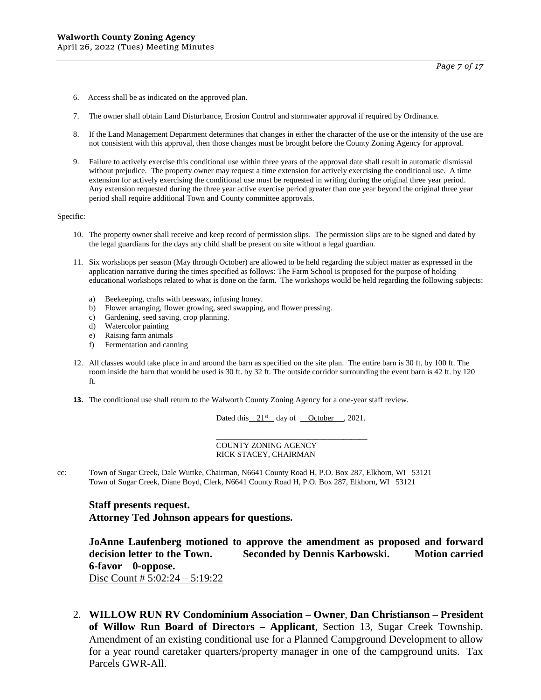- 6. Access shall be as indicated on the approved plan.
- 7. The owner shall obtain Land Disturbance, Erosion Control and stormwater approval if required by Ordinance.
- 8. If the Land Management Department determines that changes in either the character of the use or the intensity of the use are not consistent with this approval, then those changes must be brought before the County Zoning Agency for approval.
- 9. Failure to actively exercise this conditional use within three years of the approval date shall result in automatic dismissal without prejudice. The property owner may request a time extension for actively exercising the conditional use. A time extension for actively exercising the conditional use must be requested in writing during the original three year period. Any extension requested during the three year active exercise period greater than one year beyond the original three year period shall require additional Town and County committee approvals.

- 10. The property owner shall receive and keep record of permission slips. The permission slips are to be signed and dated by the legal guardians for the days any child shall be present on site without a legal guardian.
- 11. Six workshops per season (May through October) are allowed to be held regarding the subject matter as expressed in the application narrative during the times specified as follows: The Farm School is proposed for the purpose of holding educational workshops related to what is done on the farm. The workshops would be held regarding the following subjects:
	- a) Beekeeping, crafts with beeswax, infusing honey.
	- b) Flower arranging, flower growing, seed swapping, and flower pressing.
	- c) Gardening, seed saving, crop planning.
	- d) Watercolor painting
	- e) Raising farm animals
	- f) Fermentation and canning
- 12. All classes would take place in and around the barn as specified on the site plan. The entire barn is 30 ft. by 100 ft. The room inside the barn that would be used is 30 ft. by 32 ft. The outside corridor surrounding the event barn is 42 ft. by 120 ft.
- **13.** The conditional use shall return to the Walworth County Zoning Agency for a one-year staff review.

Dated this  $21^{st}$  day of October , 2021.

\_\_\_\_\_\_\_\_\_\_\_\_\_\_\_\_\_\_\_\_\_\_\_\_\_\_\_\_\_\_\_\_\_\_\_\_\_\_

COUNTY ZONING AGENCY RICK STACEY, CHAIRMAN

cc: Town of Sugar Creek, Dale Wuttke, Chairman, N6641 County Road H, P.O. Box 287, Elkhorn, WI 53121 Town of Sugar Creek, Diane Boyd, Clerk, N6641 County Road H, P.O. Box 287, Elkhorn, WI 53121

# **Staff presents request.**

**Attorney Ted Johnson appears for questions.** 

**JoAnne Laufenberg motioned to approve the amendment as proposed and forward decision letter to the Town. Seconded by Dennis Karbowski. Motion carried 6-favor 0-oppose.**

- Disc Count # 5:02:24 5:19:22
- 2. **WILLOW RUN RV Condominium Association – Owner**, **Dan Christianson – President of Willow Run Board of Directors – Applicant**, Section 13, Sugar Creek Township. Amendment of an existing conditional use for a Planned Campground Development to allow for a year round caretaker quarters/property manager in one of the campground units. Tax Parcels GWR-All.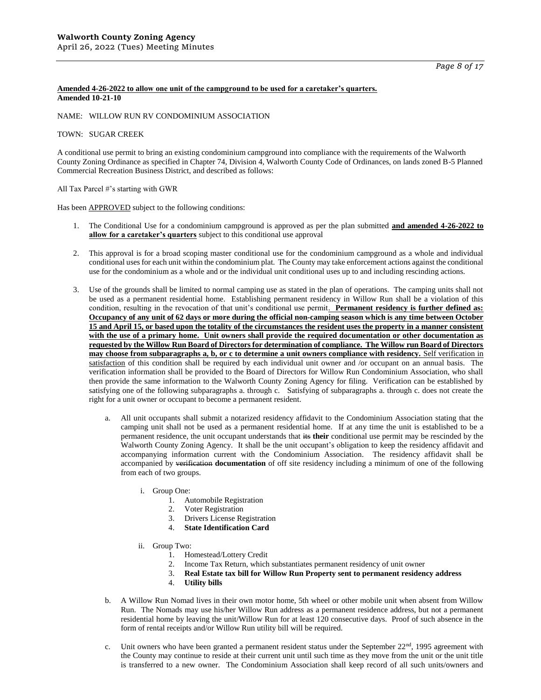### **Amended 4-26-2022 to allow one unit of the campground to be used for a caretaker's quarters. Amended 10-21-10**

### NAME: WILLOW RUN RV CONDOMINIUM ASSOCIATION

### TOWN: SUGAR CREEK

A conditional use permit to bring an existing condominium campground into compliance with the requirements of the Walworth County Zoning Ordinance as specified in Chapter 74, Division 4, Walworth County Code of Ordinances, on lands zoned B-5 Planned Commercial Recreation Business District, and described as follows:

All Tax Parcel #'s starting with GWR

Has been APPROVED subject to the following conditions:

- 1. The Conditional Use for a condominium campground is approved as per the plan submitted **and amended 4-26-2022 to allow for a caretaker's quarters** subject to this conditional use approval
- 2. This approval is for a broad scoping master conditional use for the condominium campground as a whole and individual conditional uses for each unit within the condominium plat. The County may take enforcement actions against the conditional use for the condominium as a whole and or the individual unit conditional uses up to and including rescinding actions.
- 3. Use of the grounds shall be limited to normal camping use as stated in the plan of operations. The camping units shall not be used as a permanent residential home. Establishing permanent residency in Willow Run shall be a violation of this condition, resulting in the revocation of that unit's conditional use permit. **Permanent residency is further defined as: Occupancy of any unit of 62 days or more during the official non-camping season which is any time between October 15 and April 15, or based upon the totality of the circumstances the resident uses the property in a manner consistent with the use of a primary home. Unit owners shall provide the required documentation or other documentation as requested by the Willow Run Board of Directors for determination of compliance. The Willow run Board of Directors may choose from subparagraphs a, b, or c to determine a unit owners compliance with residency.** Self verification in satisfaction of this condition shall be required by each individual unit owner and /or occupant on an annual basis. The verification information shall be provided to the Board of Directors for Willow Run Condominium Association, who shall then provide the same information to the Walworth County Zoning Agency for filing. Verification can be established by satisfying one of the following subparagraphs a. through c. Satisfying of subparagraphs a. through c. does not create the right for a unit owner or occupant to become a permanent resident.
	- a. All unit occupants shall submit a notarized residency affidavit to the Condominium Association stating that the camping unit shall not be used as a permanent residential home. If at any time the unit is established to be a permanent residence, the unit occupant understands that its **their** conditional use permit may be rescinded by the Walworth County Zoning Agency. It shall be the unit occupant's obligation to keep the residency affidavit and accompanying information current with the Condominium Association. The residency affidavit shall be accompanied by verification **documentation** of off site residency including a minimum of one of the following from each of two groups.
		- i. Group One:
			- 1. Automobile Registration
			- 2. Voter Registration
			- 3. Drivers License Registration
			- 4. **State Identification Card**
		- ii. Group Two:
			- 1. Homestead/Lottery Credit
			- 2. Income Tax Return, which substantiates permanent residency of unit owner<br>
			3. **Real Estate tax bill for Willow Run Property sent to permanent residen**
			- 3. **Real Estate tax bill for Willow Run Property sent to permanent residency address**
			- 4. **Utility bills**
	- b. A Willow Run Nomad lives in their own motor home, 5th wheel or other mobile unit when absent from Willow Run. The Nomads may use his/her Willow Run address as a permanent residence address, but not a permanent residential home by leaving the unit/Willow Run for at least 120 consecutive days. Proof of such absence in the form of rental receipts and/or Willow Run utility bill will be required.
	- c. Unit owners who have been granted a permanent resident status under the September  $22<sup>nd</sup>$ , 1995 agreement with the County may continue to reside at their current unit until such time as they move from the unit or the unit title is transferred to a new owner. The Condominium Association shall keep record of all such units/owners and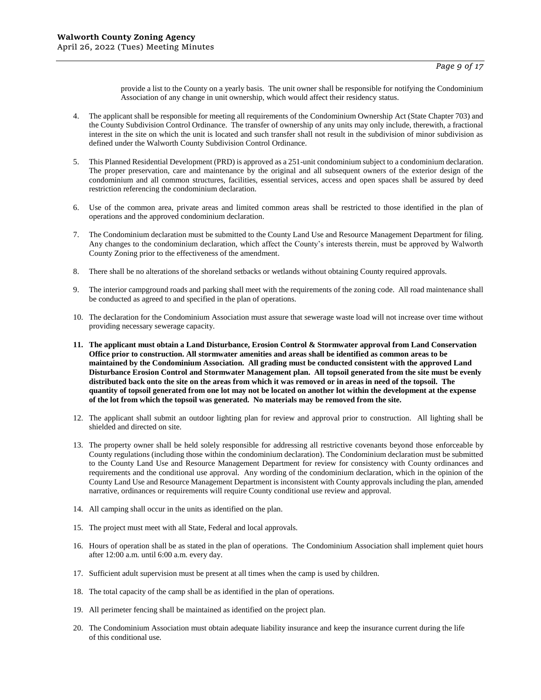provide a list to the County on a yearly basis. The unit owner shall be responsible for notifying the Condominium Association of any change in unit ownership, which would affect their residency status.

- 4. The applicant shall be responsible for meeting all requirements of the Condominium Ownership Act (State Chapter 703) and the County Subdivision Control Ordinance. The transfer of ownership of any units may only include, therewith, a fractional interest in the site on which the unit is located and such transfer shall not result in the subdivision of minor subdivision as defined under the Walworth County Subdivision Control Ordinance.
- 5. This Planned Residential Development (PRD) is approved as a 251-unit condominium subject to a condominium declaration. The proper preservation, care and maintenance by the original and all subsequent owners of the exterior design of the condominium and all common structures, facilities, essential services, access and open spaces shall be assured by deed restriction referencing the condominium declaration.
- 6. Use of the common area, private areas and limited common areas shall be restricted to those identified in the plan of operations and the approved condominium declaration.
- 7. The Condominium declaration must be submitted to the County Land Use and Resource Management Department for filing. Any changes to the condominium declaration, which affect the County's interests therein, must be approved by Walworth County Zoning prior to the effectiveness of the amendment.
- 8. There shall be no alterations of the shoreland setbacks or wetlands without obtaining County required approvals.
- 9. The interior campground roads and parking shall meet with the requirements of the zoning code. All road maintenance shall be conducted as agreed to and specified in the plan of operations.
- 10. The declaration for the Condominium Association must assure that sewerage waste load will not increase over time without providing necessary sewerage capacity.
- **11. The applicant must obtain a Land Disturbance, Erosion Control & Stormwater approval from Land Conservation Office prior to construction. All stormwater amenities and areas shall be identified as common areas to be maintained by the Condominium Association. All grading must be conducted consistent with the approved Land Disturbance Erosion Control and Stormwater Management plan. All topsoil generated from the site must be evenly distributed back onto the site on the areas from which it was removed or in areas in need of the topsoil. The quantity of topsoil generated from one lot may not be located on another lot within the development at the expense of the lot from which the topsoil was generated. No materials may be removed from the site.**
- 12. The applicant shall submit an outdoor lighting plan for review and approval prior to construction. All lighting shall be shielded and directed on site.
- 13. The property owner shall be held solely responsible for addressing all restrictive covenants beyond those enforceable by County regulations (including those within the condominium declaration). The Condominium declaration must be submitted to the County Land Use and Resource Management Department for review for consistency with County ordinances and requirements and the conditional use approval. Any wording of the condominium declaration, which in the opinion of the County Land Use and Resource Management Department is inconsistent with County approvals including the plan, amended narrative, ordinances or requirements will require County conditional use review and approval.
- 14. All camping shall occur in the units as identified on the plan.
- 15. The project must meet with all State, Federal and local approvals.
- 16. Hours of operation shall be as stated in the plan of operations. The Condominium Association shall implement quiet hours after 12:00 a.m. until 6:00 a.m. every day.
- 17. Sufficient adult supervision must be present at all times when the camp is used by children.
- 18. The total capacity of the camp shall be as identified in the plan of operations.
- 19. All perimeter fencing shall be maintained as identified on the project plan.
- 20. The Condominium Association must obtain adequate liability insurance and keep the insurance current during the life of this conditional use.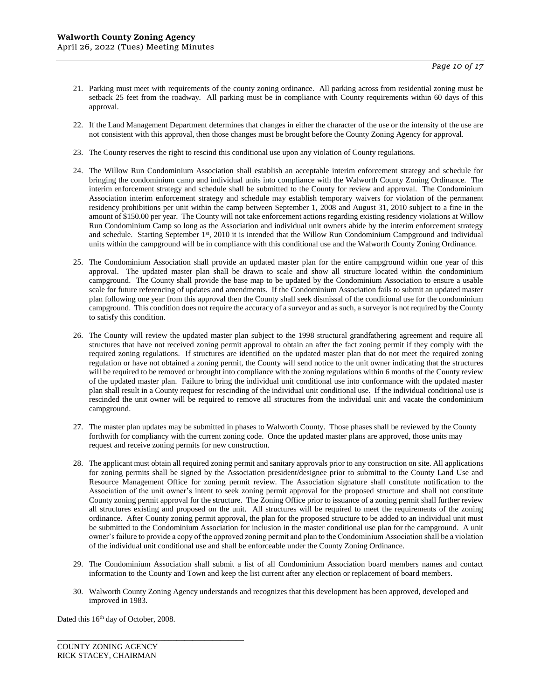- 21. Parking must meet with requirements of the county zoning ordinance. All parking across from residential zoning must be setback 25 feet from the roadway. All parking must be in compliance with County requirements within 60 days of this approval.
- 22. If the Land Management Department determines that changes in either the character of the use or the intensity of the use are not consistent with this approval, then those changes must be brought before the County Zoning Agency for approval.
- 23. The County reserves the right to rescind this conditional use upon any violation of County regulations.
- 24. The Willow Run Condominium Association shall establish an acceptable interim enforcement strategy and schedule for bringing the condominium camp and individual units into compliance with the Walworth County Zoning Ordinance. The interim enforcement strategy and schedule shall be submitted to the County for review and approval. The Condominium Association interim enforcement strategy and schedule may establish temporary waivers for violation of the permanent residency prohibitions per unit within the camp between September 1, 2008 and August 31, 2010 subject to a fine in the amount of \$150.00 per year. The County will not take enforcement actions regarding existing residency violations at Willow Run Condominium Camp so long as the Association and individual unit owners abide by the interim enforcement strategy and schedule. Starting September 1<sup>st</sup>, 2010 it is intended that the Willow Run Condominium Campground and individual units within the campground will be in compliance with this conditional use and the Walworth County Zoning Ordinance.
- 25. The Condominium Association shall provide an updated master plan for the entire campground within one year of this approval. The updated master plan shall be drawn to scale and show all structure located within the condominium campground. The County shall provide the base map to be updated by the Condominium Association to ensure a usable scale for future referencing of updates and amendments. If the Condominium Association fails to submit an updated master plan following one year from this approval then the County shall seek dismissal of the conditional use for the condominium campground. This condition does not require the accuracy of a surveyor and as such, a surveyor is not required by the County to satisfy this condition.
- 26. The County will review the updated master plan subject to the 1998 structural grandfathering agreement and require all structures that have not received zoning permit approval to obtain an after the fact zoning permit if they comply with the required zoning regulations. If structures are identified on the updated master plan that do not meet the required zoning regulation or have not obtained a zoning permit, the County will send notice to the unit owner indicating that the structures will be required to be removed or brought into compliance with the zoning regulations within 6 months of the County review of the updated master plan. Failure to bring the individual unit conditional use into conformance with the updated master plan shall result in a County request for rescinding of the individual unit conditional use. If the individual conditional use is rescinded the unit owner will be required to remove all structures from the individual unit and vacate the condominium campground.
- 27. The master plan updates may be submitted in phases to Walworth County. Those phases shall be reviewed by the County forthwith for compliancy with the current zoning code. Once the updated master plans are approved, those units may request and receive zoning permits for new construction.
- 28. The applicant must obtain all required zoning permit and sanitary approvals prior to any construction on site. All applications for zoning permits shall be signed by the Association president/designee prior to submittal to the County Land Use and Resource Management Office for zoning permit review. The Association signature shall constitute notification to the Association of the unit owner's intent to seek zoning permit approval for the proposed structure and shall not constitute County zoning permit approval for the structure. The Zoning Office prior to issuance of a zoning permit shall further review all structures existing and proposed on the unit. All structures will be required to meet the requirements of the zoning ordinance. After County zoning permit approval, the plan for the proposed structure to be added to an individual unit must be submitted to the Condominium Association for inclusion in the master conditional use plan for the campground. A unit owner's failure to provide a copy of the approved zoning permit and plan to the Condominium Association shall be a violation of the individual unit conditional use and shall be enforceable under the County Zoning Ordinance.
- 29. The Condominium Association shall submit a list of all Condominium Association board members names and contact information to the County and Town and keep the list current after any election or replacement of board members.
- 30. Walworth County Zoning Agency understands and recognizes that this development has been approved, developed and improved in 1983.

Dated this 16<sup>th</sup> day of October, 2008.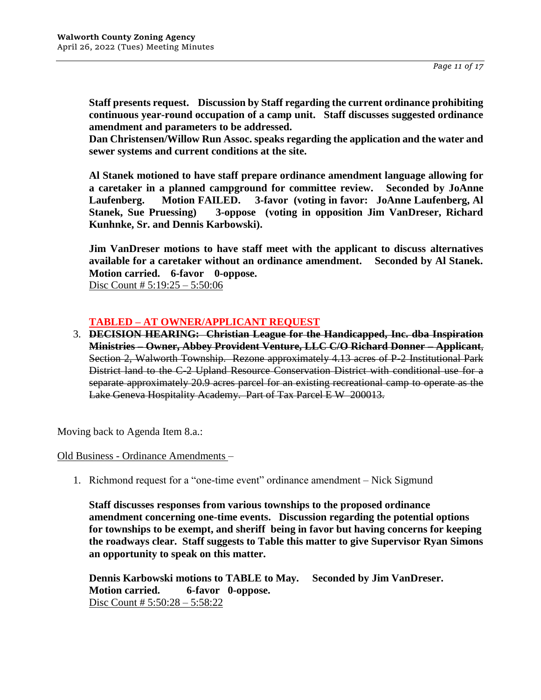**Staff presents request. Discussion by Staff regarding the current ordinance prohibiting continuous year-round occupation of a camp unit. Staff discusses suggested ordinance amendment and parameters to be addressed.**

**Dan Christensen/Willow Run Assoc. speaks regarding the application and the water and sewer systems and current conditions at the site.**

**Al Stanek motioned to have staff prepare ordinance amendment language allowing for a caretaker in a planned campground for committee review. Seconded by JoAnne Laufenberg. Motion FAILED. 3-favor (voting in favor: JoAnne Laufenberg, Al Stanek, Sue Pruessing) 3-oppose (voting in opposition Jim VanDreser, Richard Kunhnke, Sr. and Dennis Karbowski).**

**Jim VanDreser motions to have staff meet with the applicant to discuss alternatives available for a caretaker without an ordinance amendment. Seconded by Al Stanek. Motion carried. 6-favor 0-oppose.** Disc Count  $\# 5:19:25 - 5:50:06$ 

# **TABLED – AT OWNER/APPLICANT REQUEST**

3. **DECISION HEARING: Christian League for the Handicapped, Inc. dba Inspiration Ministries – Owner, Abbey Provident Venture, LLC C/O Richard Donner – Applicant**, Section 2, Walworth Township. Rezone approximately 4.13 acres of P-2 Institutional Park District land to the C-2 Upland Resource Conservation District with conditional use for a separate approximately 20.9 acres parcel for an existing recreational camp to operate as the Lake Geneva Hospitality Academy. Part of Tax Parcel E W 200013.

Moving back to Agenda Item 8.a.:

Old Business - Ordinance Amendments –

1. Richmond request for a "one-time event" ordinance amendment – Nick Sigmund

**Staff discusses responses from various townships to the proposed ordinance amendment concerning one-time events. Discussion regarding the potential options for townships to be exempt, and sheriff being in favor but having concerns for keeping the roadways clear. Staff suggests to Table this matter to give Supervisor Ryan Simons an opportunity to speak on this matter.**

**Dennis Karbowski motions to TABLE to May. Seconded by Jim VanDreser. Motion carried. 6-favor 0-oppose.** Disc Count # 5:50:28 – 5:58:22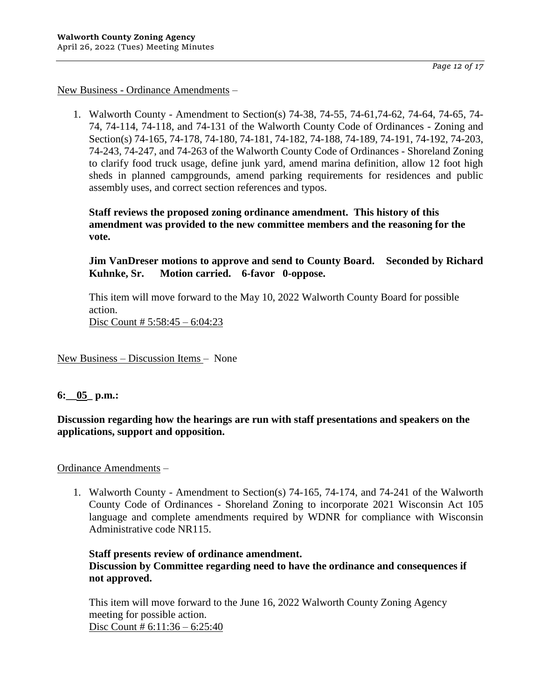*Page 12 of 17*

## New Business - Ordinance Amendments –

1. Walworth County - Amendment to Section(s) 74-38, 74-55, 74-61,74-62, 74-64, 74-65, 74- 74, 74-114, 74-118, and 74-131 of the Walworth County Code of Ordinances - Zoning and Section(s) 74-165, 74-178, 74-180, 74-181, 74-182, 74-188, 74-189, 74-191, 74-192, 74-203, 74-243, 74-247, and 74-263 of the Walworth County Code of Ordinances - Shoreland Zoning to clarify food truck usage, define junk yard, amend marina definition, allow 12 foot high sheds in planned campgrounds, amend parking requirements for residences and public assembly uses, and correct section references and typos.

**Staff reviews the proposed zoning ordinance amendment. This history of this amendment was provided to the new committee members and the reasoning for the vote.**

**Jim VanDreser motions to approve and send to County Board. Seconded by Richard Kuhnke, Sr. Motion carried. 6-favor 0-oppose.**

This item will move forward to the May 10, 2022 Walworth County Board for possible action. Disc Count # 5:58:45 – 6:04:23

New Business – Discussion Items – None

## **6:\_\_05\_ p.m.:**

**Discussion regarding how the hearings are run with staff presentations and speakers on the applications, support and opposition.**

Ordinance Amendments –

1. Walworth County - Amendment to Section(s) 74-165, 74-174, and 74-241 of the Walworth County Code of Ordinances - Shoreland Zoning to incorporate 2021 Wisconsin Act 105 language and complete amendments required by WDNR for compliance with Wisconsin Administrative code NR115.

# **Staff presents review of ordinance amendment. Discussion by Committee regarding need to have the ordinance and consequences if not approved.**

This item will move forward to the June 16, 2022 Walworth County Zoning Agency meeting for possible action. Disc Count # 6:11:36 – 6:25:40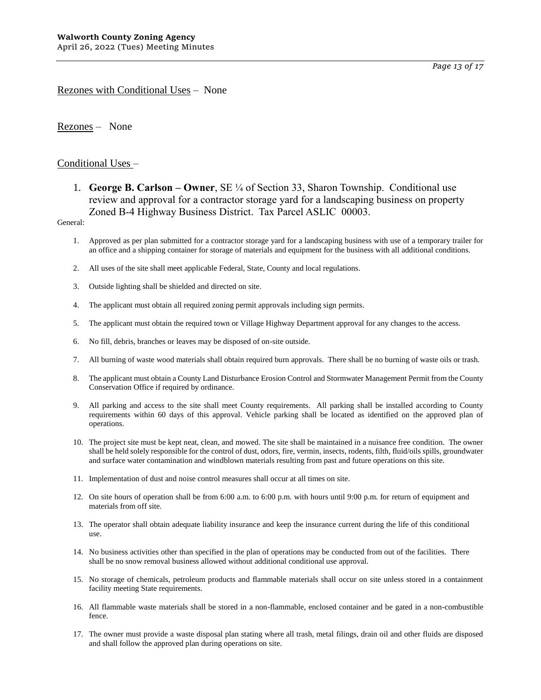*Page 13 of 17*

## Rezones with Conditional Uses – None

Rezones – None

## Conditional Uses –

1. **George B. Carlson – Owner**, SE ¼ of Section 33, Sharon Township. Conditional use review and approval for a contractor storage yard for a landscaping business on property Zoned B-4 Highway Business District. Tax Parcel ASLIC 00003.

### General:

- 1. Approved as per plan submitted for a contractor storage yard for a landscaping business with use of a temporary trailer for an office and a shipping container for storage of materials and equipment for the business with all additional conditions.
- 2. All uses of the site shall meet applicable Federal, State, County and local regulations.
- 3. Outside lighting shall be shielded and directed on site.
- 4. The applicant must obtain all required zoning permit approvals including sign permits.
- 5. The applicant must obtain the required town or Village Highway Department approval for any changes to the access.
- 6. No fill, debris, branches or leaves may be disposed of on-site outside.
- 7. All burning of waste wood materials shall obtain required burn approvals. There shall be no burning of waste oils or trash.
- 8. The applicant must obtain a County Land Disturbance Erosion Control and Stormwater Management Permit from the County Conservation Office if required by ordinance.
- 9. All parking and access to the site shall meet County requirements. All parking shall be installed according to County requirements within 60 days of this approval. Vehicle parking shall be located as identified on the approved plan of operations.
- 10. The project site must be kept neat, clean, and mowed. The site shall be maintained in a nuisance free condition. The owner shall be held solely responsible for the control of dust, odors, fire, vermin, insects, rodents, filth, fluid/oils spills, groundwater and surface water contamination and windblown materials resulting from past and future operations on this site.
- 11. Implementation of dust and noise control measures shall occur at all times on site.
- 12. On site hours of operation shall be from 6:00 a.m. to 6:00 p.m. with hours until 9:00 p.m. for return of equipment and materials from off site.
- 13. The operator shall obtain adequate liability insurance and keep the insurance current during the life of this conditional use.
- 14. No business activities other than specified in the plan of operations may be conducted from out of the facilities. There shall be no snow removal business allowed without additional conditional use approval.
- 15. No storage of chemicals, petroleum products and flammable materials shall occur on site unless stored in a containment facility meeting State requirements.
- 16. All flammable waste materials shall be stored in a non-flammable, enclosed container and be gated in a non-combustible fence.
- 17. The owner must provide a waste disposal plan stating where all trash, metal filings, drain oil and other fluids are disposed and shall follow the approved plan during operations on site.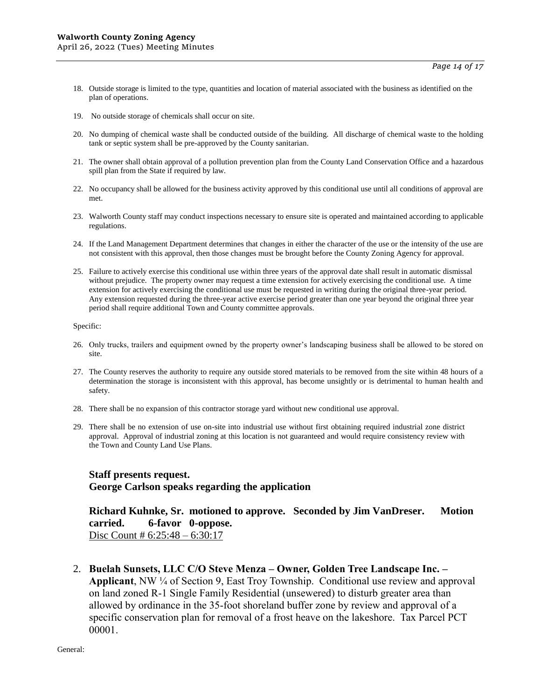- 18. Outside storage is limited to the type, quantities and location of material associated with the business as identified on the plan of operations.
- 19. No outside storage of chemicals shall occur on site.
- 20. No dumping of chemical waste shall be conducted outside of the building. All discharge of chemical waste to the holding tank or septic system shall be pre-approved by the County sanitarian.
- 21. The owner shall obtain approval of a pollution prevention plan from the County Land Conservation Office and a hazardous spill plan from the State if required by law.
- 22. No occupancy shall be allowed for the business activity approved by this conditional use until all conditions of approval are met.
- 23. Walworth County staff may conduct inspections necessary to ensure site is operated and maintained according to applicable regulations.
- 24. If the Land Management Department determines that changes in either the character of the use or the intensity of the use are not consistent with this approval, then those changes must be brought before the County Zoning Agency for approval.
- 25. Failure to actively exercise this conditional use within three years of the approval date shall result in automatic dismissal without prejudice. The property owner may request a time extension for actively exercising the conditional use. A time extension for actively exercising the conditional use must be requested in writing during the original three-year period. Any extension requested during the three-year active exercise period greater than one year beyond the original three year period shall require additional Town and County committee approvals.

- 26. Only trucks, trailers and equipment owned by the property owner's landscaping business shall be allowed to be stored on site.
- 27. The County reserves the authority to require any outside stored materials to be removed from the site within 48 hours of a determination the storage is inconsistent with this approval, has become unsightly or is detrimental to human health and safety.
- 28. There shall be no expansion of this contractor storage yard without new conditional use approval.
- 29. There shall be no extension of use on-site into industrial use without first obtaining required industrial zone district approval. Approval of industrial zoning at this location is not guaranteed and would require consistency review with the Town and County Land Use Plans.

## **Staff presents request.**

**George Carlson speaks regarding the application**

**Richard Kuhnke, Sr. motioned to approve. Seconded by Jim VanDreser. Motion carried. 6-favor 0-oppose.**  Disc Count # 6:25:48 – 6:30:17

2. **Buelah Sunsets, LLC C/O Steve Menza – Owner, Golden Tree Landscape Inc. – Applicant**, NW ¼ of Section 9, East Troy Township. Conditional use review and approval on land zoned R-1 Single Family Residential (unsewered) to disturb greater area than allowed by ordinance in the 35-foot shoreland buffer zone by review and approval of a specific conservation plan for removal of a frost heave on the lakeshore. Tax Parcel PCT 00001.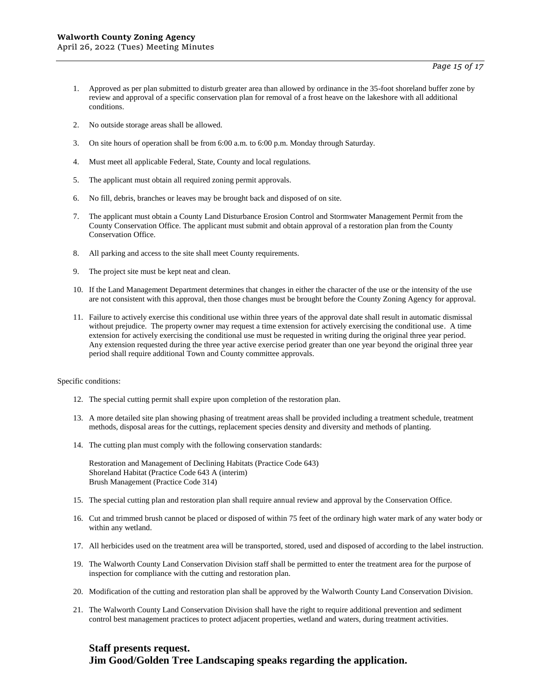- 1. Approved as per plan submitted to disturb greater area than allowed by ordinance in the 35-foot shoreland buffer zone by review and approval of a specific conservation plan for removal of a frost heave on the lakeshore with all additional conditions.
- 2. No outside storage areas shall be allowed.
- 3. On site hours of operation shall be from 6:00 a.m. to 6:00 p.m. Monday through Saturday.
- 4. Must meet all applicable Federal, State, County and local regulations.
- 5. The applicant must obtain all required zoning permit approvals.
- 6. No fill, debris, branches or leaves may be brought back and disposed of on site.
- 7. The applicant must obtain a County Land Disturbance Erosion Control and Stormwater Management Permit from the County Conservation Office. The applicant must submit and obtain approval of a restoration plan from the County Conservation Office.
- 8. All parking and access to the site shall meet County requirements.
- 9. The project site must be kept neat and clean.
- 10. If the Land Management Department determines that changes in either the character of the use or the intensity of the use are not consistent with this approval, then those changes must be brought before the County Zoning Agency for approval.
- 11. Failure to actively exercise this conditional use within three years of the approval date shall result in automatic dismissal without prejudice. The property owner may request a time extension for actively exercising the conditional use. A time extension for actively exercising the conditional use must be requested in writing during the original three year period. Any extension requested during the three year active exercise period greater than one year beyond the original three year period shall require additional Town and County committee approvals.

Specific conditions:

- 12. The special cutting permit shall expire upon completion of the restoration plan.
- 13. A more detailed site plan showing phasing of treatment areas shall be provided including a treatment schedule, treatment methods, disposal areas for the cuttings, replacement species density and diversity and methods of planting.
- 14. The cutting plan must comply with the following conservation standards:

Restoration and Management of Declining Habitats (Practice Code 643) Shoreland Habitat (Practice Code 643 A (interim) Brush Management (Practice Code 314)

- 15. The special cutting plan and restoration plan shall require annual review and approval by the Conservation Office.
- 16. Cut and trimmed brush cannot be placed or disposed of within 75 feet of the ordinary high water mark of any water body or within any wetland.
- 17. All herbicides used on the treatment area will be transported, stored, used and disposed of according to the label instruction.
- 19. The Walworth County Land Conservation Division staff shall be permitted to enter the treatment area for the purpose of inspection for compliance with the cutting and restoration plan.
- 20. Modification of the cutting and restoration plan shall be approved by the Walworth County Land Conservation Division.
- 21. The Walworth County Land Conservation Division shall have the right to require additional prevention and sediment control best management practices to protect adjacent properties, wetland and waters, during treatment activities.

## **Staff presents request.**

**Jim Good/Golden Tree Landscaping speaks regarding the application.**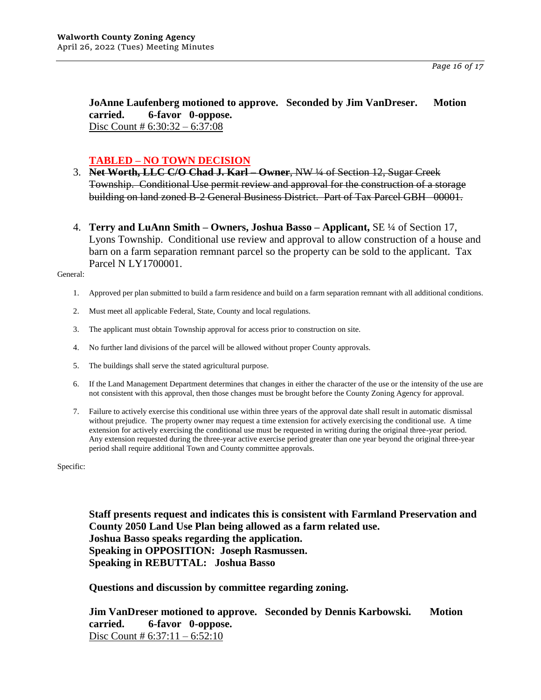**JoAnne Laufenberg motioned to approve. Seconded by Jim VanDreser. Motion carried. 6-favor 0-oppose.**  Disc Count # 6:30:32 – 6:37:08

# **TABLED – NO TOWN DECISION**

- 3. **Net Worth, LLC C/O Chad J. Karl – Owner**, NW ¼ of Section 12, Sugar Creek Township. Conditional Use permit review and approval for the construction of a storage building on land zoned B-2 General Business District. Part of Tax Parcel GBH 00001.
- 4. **Terry and LuAnn Smith – Owners, Joshua Basso – Applicant,** SE ¼ of Section 17, Lyons Township. Conditional use review and approval to allow construction of a house and barn on a farm separation remnant parcel so the property can be sold to the applicant. Tax Parcel N LY1700001.

General:

- 1. Approved per plan submitted to build a farm residence and build on a farm separation remnant with all additional conditions.
- 2. Must meet all applicable Federal, State, County and local regulations.
- 3. The applicant must obtain Township approval for access prior to construction on site.
- 4. No further land divisions of the parcel will be allowed without proper County approvals.
- 5. The buildings shall serve the stated agricultural purpose.
- 6. If the Land Management Department determines that changes in either the character of the use or the intensity of the use are not consistent with this approval, then those changes must be brought before the County Zoning Agency for approval.
- 7. Failure to actively exercise this conditional use within three years of the approval date shall result in automatic dismissal without prejudice. The property owner may request a time extension for actively exercising the conditional use. A time extension for actively exercising the conditional use must be requested in writing during the original three-year period. Any extension requested during the three-year active exercise period greater than one year beyond the original three-year period shall require additional Town and County committee approvals.

Specific:

**Staff presents request and indicates this is consistent with Farmland Preservation and County 2050 Land Use Plan being allowed as a farm related use. Joshua Basso speaks regarding the application. Speaking in OPPOSITION: Joseph Rasmussen. Speaking in REBUTTAL: Joshua Basso**

**Questions and discussion by committee regarding zoning.**

**Jim VanDreser motioned to approve. Seconded by Dennis Karbowski. Motion carried. 6-favor 0-oppose.**  Disc Count #  $6:37:11 - 6:52:10$